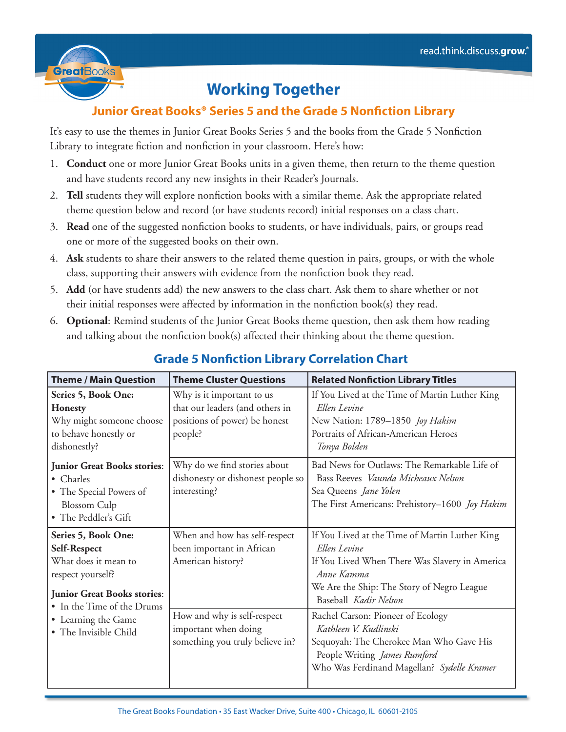

## **Working Together**

## **Junior Great Books® Series 5 and the Grade 5 Nonfiction Library**

It's easy to use the themes in Junior Great Books Series 5 and the books from the Grade 5 Nonfiction Library to integrate fiction and nonfiction in your classroom. Here's how:

- 1. **Conduct** one or more Junior Great Books units in a given theme, then return to the theme question and have students record any new insights in their Reader's Journals.
- 2. **Tell** students they will explore nonfiction books with a similar theme. Ask the appropriate related theme question below and record (or have students record) initial responses on a class chart.
- 3. **Read** one of the suggested nonfiction books to students, or have individuals, pairs, or groups read one or more of the suggested books on their own.
- 4. **Ask** students to share their answers to the related theme question in pairs, groups, or with the whole class, supporting their answers with evidence from the nonfiction book they read.
- 5. **Add** (or have students add) the new answers to the class chart. Ask them to share whether or not their initial responses were affected by information in the nonfiction book(s) they read.
- 6. **Optional**: Remind students of the Junior Great Books theme question, then ask them how reading and talking about the nonfiction book(s) affected their thinking about the theme question.

| <b>Theme / Main Question</b>                                                                                                                                                                         | <b>Theme Cluster Questions</b>                                                                           | <b>Related Nonfiction Library Titles</b>                                                                                                                                                              |
|------------------------------------------------------------------------------------------------------------------------------------------------------------------------------------------------------|----------------------------------------------------------------------------------------------------------|-------------------------------------------------------------------------------------------------------------------------------------------------------------------------------------------------------|
| Series 5, Book One:<br><b>Honesty</b><br>Why might someone choose<br>to behave honestly or<br>dishonestly?                                                                                           | Why is it important to us<br>that our leaders (and others in<br>positions of power) be honest<br>people? | If You Lived at the Time of Martin Luther King<br>Ellen Levine<br>New Nation: 1789-1850 Joy Hakim<br>Portraits of African-American Heroes<br>Tonya Bolden                                             |
| <b>Junior Great Books stories:</b><br>• Charles<br>• The Special Powers of<br><b>Blossom</b> Culp<br>• The Peddler's Gift                                                                            | Why do we find stories about<br>dishonesty or dishonest people so<br>interesting?                        | Bad News for Outlaws: The Remarkable Life of<br>Bass Reeves Vaunda Micheaux Nelson<br>Sea Queens Jane Yolen<br>The First Americans: Prehistory-1600 Joy Hakim                                         |
| Series 5, Book One:<br>Self-Respect<br>What does it mean to<br>respect yourself?<br><b>Junior Great Books stories:</b><br>• In the Time of the Drums<br>• Learning the Game<br>• The Invisible Child | When and how has self-respect<br>been important in African<br>American history?                          | If You Lived at the Time of Martin Luther King<br>Ellen Levine<br>If You Lived When There Was Slavery in America<br>Anne Kamma<br>We Are the Ship: The Story of Negro League<br>Baseball Kadir Nelson |
|                                                                                                                                                                                                      | How and why is self-respect<br>important when doing<br>something you truly believe in?                   | Rachel Carson: Pioneer of Ecology<br>Kathleen V. Kudlinski<br>Sequoyah: The Cherokee Man Who Gave His<br>People Writing James Rumford<br>Who Was Ferdinand Magellan? Sydelle Kramer                   |

## **Grade 5 Nonfiction Library Correlation Chart**